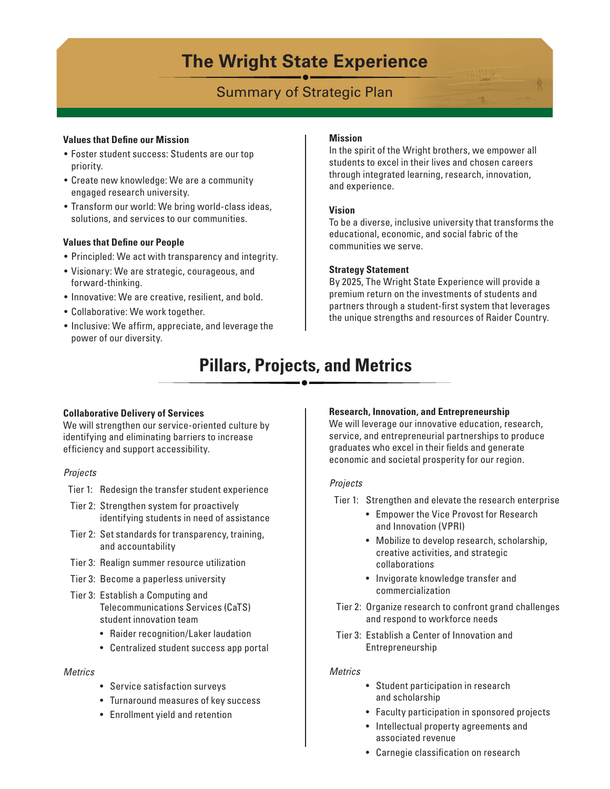# **The Wright State Experience**

# Summary of Strategic Plan

### **Values that Define our Mission**

- Foster student success: Students are our top priority.
- Create new knowledge: We are a community engaged research university.
- Transform our world: We bring world-class ideas, solutions, and services to our communities.

# **Values that Define our People**

- Principled: We act with transparency and integrity.
- Visionary: We are strategic, courageous, and forward-thinking.
- Innovative: We are creative, resilient, and bold.
- Collaborative: We work together.
- Inclusive: We affirm, appreciate, and leverage the power of our diversity.

## **Mission**

In the spirit of the Wright brothers, we empower all students to excel in their lives and chosen careers through integrated learning, research, innovation, and experience.

## **Vision**

To be a diverse, inclusive university that transforms the educational, economic, and social fabric of the communities we serve.

# **Strategy Statement**

By 2025, The Wright State Experience will provide a premium return on the investments of students and partners through a student-first system that leverages the unique strengths and resources of Raider Country.

# **Pillars, Projects, and Metrics**

# **Collaborative Delivery of Services**

We will strengthen our service-oriented culture by identifying and eliminating barriers to increase efficiency and support accessibility.

# *Projects*

- Tier 1: Redesign the transfer student experience
- Tier 2: Strengthen system for proactively identifying students in need of assistance
- Tier 2: Set standards for transparency, training, and accountability
- Tier 3: Realign summer resource utilization
- Tier 3: Become a paperless university
- Tier 3: Establish a Computing and Telecommunications Services (CaTS) student innovation team
	- Raider recognition/Laker laudation
	- Centralized student success app portal

# *Metrics*

- Service satisfaction surveys
- Turnaround measures of key success
- Enrollment yield and retention

# **Research, Innovation, and Entrepreneurship**

We will leverage our innovative education, research, service, and entrepreneurial partnerships to produce graduates who excel in their fields and generate economic and societal prosperity for our region.

# *Projects*

Tier 1: Strengthen and elevate the research enterprise

- Empower the Vice Provost for Research and Innovation (VPRI)
- Mobilize to develop research, scholarship, creative activities, and strategic collaborations
- Invigorate knowledge transfer and commercialization
- Tier 2: Organize research to confront grand challenges and respond to workforce needs
- Tier 3: Establish a Center of Innovation and Entrepreneurship

# *Metrics*

- Student participation in research and scholarship
- Faculty participation in sponsored projects
- Intellectual property agreements and associated revenue
- Carnegie classification on research